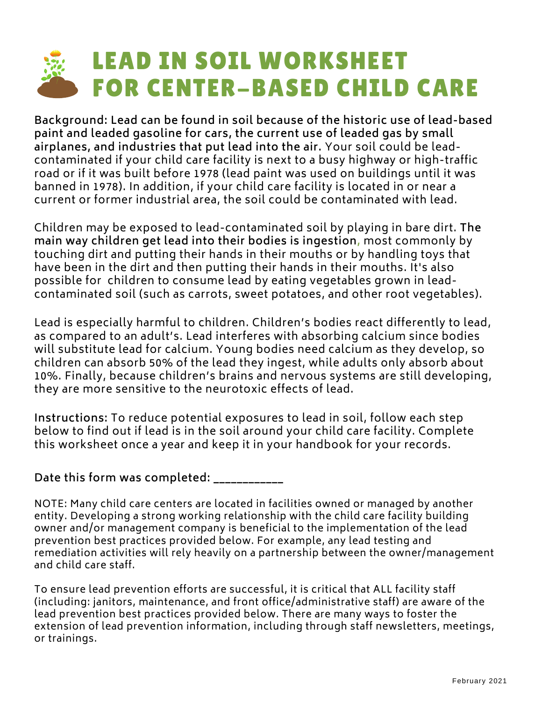# LEAD IN SOIL WORKSHEET FOR CENTER-BASED CHILD CARE

**Background: Lead can be found in soil because of the historic use of lead-based paint and leaded gasoline for cars, the current use of leaded gas by small airplanes, and industries that put lead into the air.** Your soil could be lead contaminated if your child care facility is next to a busy highway or high-traffic road or if it was built before 1978 (lead paint was used on buildings until it was banned in 1978). In addition, if your child care facility is located in or near a current or former industrial area, the soil could be contaminated with lead.

Children may be exposed to lead-contaminated soil by playing in bare dirt. **The main way children get lead into their bodies is ingestion,** most commonly by touching dirt and putting their hands in their mouths or by handling toys that have been in the dirt and then putting their hands in their mouths. It's also possible for children to consume lead by eating vegetables grown in lead contaminated soil (such as carrots, sweet potatoes, and other root vegetables).

Lead is especially harmful to children. Children's bodies react differently to lead, as compared to an adult's. Lead interferes with absorbing calcium since bodies will substitute lead for calcium. Young bodies need calcium as they develop, so children can absorb 50% of the lead they ingest, while adults only absorb about 10%. Finally, because children's brains and nervous systems are still developing, they are more sensitive to the neurotoxic effects of lead.

**Instructions:** To reduce potential exposures to lead in soil, follow each step below to find out if lead is in the soil around your child care facility. Complete this worksheet once a year and keep it in your handbook for your records.

#### **Date this form wascompleted: \_\_\_\_\_\_\_\_\_\_\_\_**

NOTE: Many child care centers are located in facilities owned or managed by another entity. Developing a strong working relationship with the child care facility building owner and/or management company is beneficial to the implementation of the lead prevention best practices provided below. For example, any lead testing and remediation activities will rely heavily on a partnership between the owner/management and child care staff.

To ensure lead prevention efforts are successful, it is critical that ALL facility staff (including: janitors, maintenance, and front office/administrative staff) are aware of the lead prevention best practices provided below. There are many ways to foster the extension of lead prevention information, including through staff newsletters, meetings, or trainings.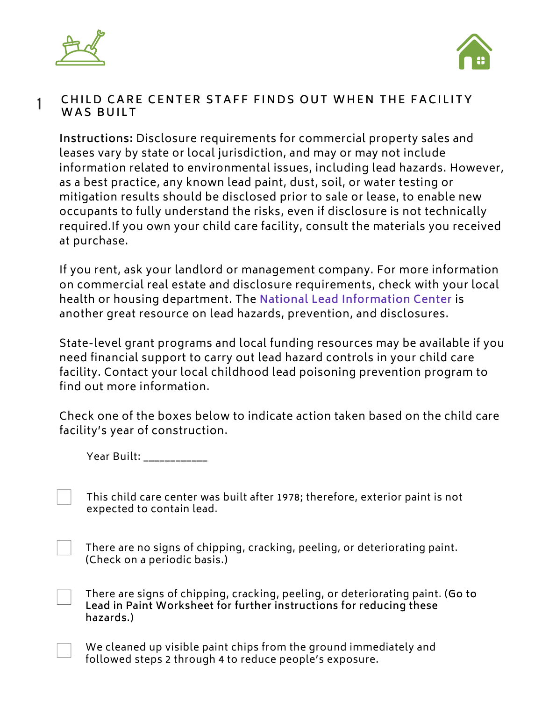



#### CHILD CARE CENTER STAFF FINDS OUT WHEN THE FACILITY **WAS BUILT** 1

**Instructions:** Disclosure requirements for commercial property sales and leases vary by state or local jurisdiction, and may or may not include information related to environmental issues, including lead hazards. However, as a best practice, any known lead paint, dust, soil, or water testing or mitigation results should be disclosed prior to sale or lease, to enable new occupants to fully understand the risks, even if disclosure is not technically required.If you own your child care facility, consult the materials you received at purchase.

If you rent, ask your landlord or management company. For more information on commercial real estate and disclosure requirements, check with your local health or housing department. The **National Lead [Information](https://www.epa.gov/lead/real-estate-disclosures-about-potential-lead-hazards) Center** is another great resource on lead hazards, prevention, and disclosures.

State-level grant programs and local funding resources may be available if you need financial support to carry out lead hazard controls in your child care facility. Contact your local childhood lead poisoning prevention program to find out more information.

Check one of the boxes below to indicate action taken based on the child care facility's year of construction.

Year Built: \_\_\_\_\_\_\_\_\_\_\_\_

This child care center was built after 1978; therefore, exterior paint is not expected to contain lead.

There are no signs of chipping, cracking, peeling, or deteriorating paint. (Check on a periodic basis.)

There are signs of chipping, cracking, peeling, or deteriorating paint. (**Go to Lead in Paint Worksheet for further instructions for reducing these hazards.**)

We cleaned up visible paint chips from the ground immediately and followed steps 2 through 4 to reduce people's exposure.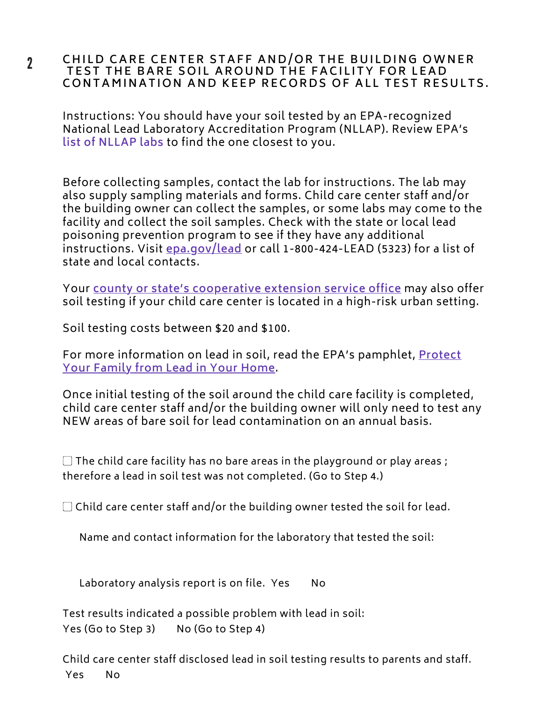#### CHILD CARE CENTER STAFF AND/OR THE BUILDING OWNER TEST THE BARE SOIL AROUND THE FACILITY FOR LEAD CONTAMINATION AND KEEP RECORDS OF ALL TEST RESULTS.

Instructions: You should have your soil tested by an EPA-recognized National Lead Laboratory Accreditation Program (NLLAP). Review EPA's **list of NLLAP labs** to find the one closest to you.

Before collecting samples, contact the lab for instructions. The lab may also supply sampling materials and forms. Child care center staff and/or the building owner can collect the samples, or some labs may come to the facility and collect the soil samples. Check with the state or local lead poisoning prevention program to see if they have any additional instructions. Visit **[epa.gov/lead](https://www.epa.gov/lead)** or call 1-800-424-LEAD (5323) for a list of state and local contacts.

Your **county or state's [cooperative](https://nifa.usda.gov/land-grant-colleges-and-universities-partner-website-directory) extension service office** may also offer soil testing if your child care center is located in a high-risk urban setting.

Soil testing costs between \$20 and \$100.

For more [information](https://www.epa.gov/lead/protect-your-family-lead-your-home-english) on lead in soil, read the EPA's pamphlet, **Protect Your Family from Lead in Your Home**.

Once initial testing of the soil around the child care facility is completed, child care center staff and/or the building owner will only need to test any NEW areas of bare soil for lead contamination on an annual basis.

 $\Box$  The child care facility has no bare areas in the playground or play areas ; therefore a lead in soil test was not completed. (Go to Step 4.)

 $\Box$  Child care center staff and/or the building owner tested the soil for lead.

Name and contact information for the laboratory that tested the soil:

Laboratory analysis report is on file. Yes No

Test results indicated a possible problem with lead in soil: Yes (Go to Step 3) No (Go to Step 4)

Child care center staff disclosed lead in soil testing results to parents and staff. Yes No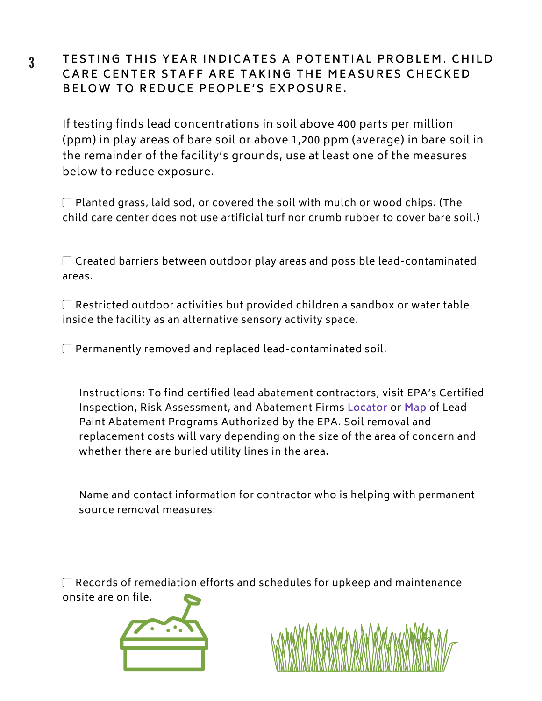### TESTING THIS YEAR INDICATES A POTENTIAL PROBLEM. CHILD CARE CENTER STAFF ARE TAKING THE MEASURES CHECKED BELOW TO REDUCE PEOPLE'S EXPOSURE.

If testing finds lead [concentrations](https://www.epa.gov/lead/protect-your-family-lead-your-home) in soil above 400 parts per million (ppm) in play areas of bare soil or above 1,200 ppm (average) in bare soil in the remainder of the facility's grounds, use at least one of the measures below to reduce exposure.

▢ Planted grass, laid sod, or covered the soil with mulch or wood chips. (The child care center does not use artificial turf nor crumb rubber to cover bare soil.)

▢ Created barriers between outdoor play areas and possible lead-contaminated areas.

▢ Restricted outdoor activities but provided children a sandbox or water table inside the facility as an alternative sensory activity space.

▢ Permanently removed and replaced lead-contaminated soil.

Instructions: To find certified lead abatement contractors, visit EPA's Certified Inspection, Risk Assessment, and Abatement Firms **[Locator](https://www.epa.gov/lead/lead-based-paint-activities-professionals)** or **[Map](https://www.epa.gov/sites/production/files/2019-08/documents/authstatus2.pdf)** of Lead Paint Abatement Programs Authorized by the EPA. Soil removal and replacement costs will vary depending on the size of the area of concern and whether there are buried utility lines in the area.

Name and contact information for contractor who is helping with permanent source removal measures:

▢ Records of remediation efforts and schedules for upkeep and maintenance onsite are on file.





### 3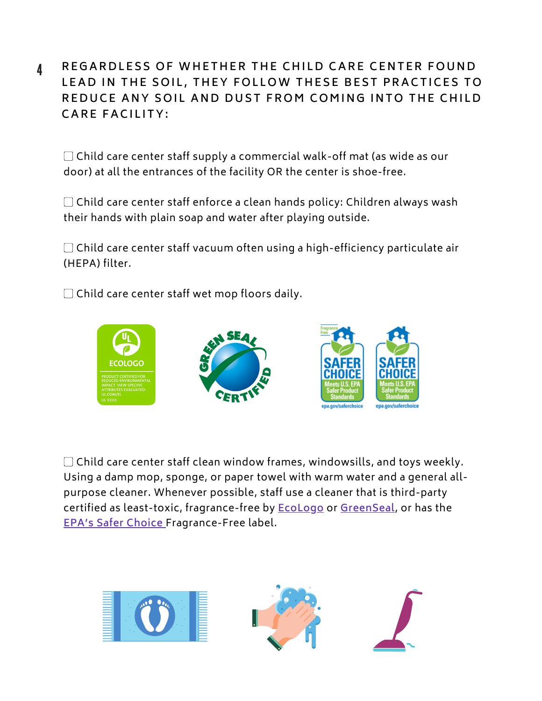4 REGARDLESS OF WHETHER THE CHILD CARE CENTER FOUND LEAD IN THE SOIL, THEY FOLLOW THESE BEST PRACTICES TO REDUCE ANY SOIL AND DUST FROM COMING INTO THE CHILD **C A R E F A C I L IT Y :**

▢ Child care center staff supply a commercial walk-off mat (as wide as our door) at all the entrances of the facility OR the center is shoe-free.

▢ Child care center staff enforce a clean hands policy: Children always wash their hands with plain soap and water after playing outside.

 $\Box$  Child care center staff vacuum often using a high-efficiency particulate air (HEPA) filter.

▢ Child care center staff wet mop floors daily.



▢ Child care center staff clean window frames, windowsills, and toys weekly. Using a damp mop, sponge, or paper towel with warm water and a general allpurpose cleaner. Whenever possible, staff use a cleaner that is third-party certified as least-toxic, fragrance-free by **[EcoLogo](https://www.ul.com/resources/ecologo-certification-program)** or **[GreenSeal](https://greenseal.org/)**, or has the **EPA's Safer [Choice](https://www.epa.gov/saferchoice)** Fragrance-Free label.

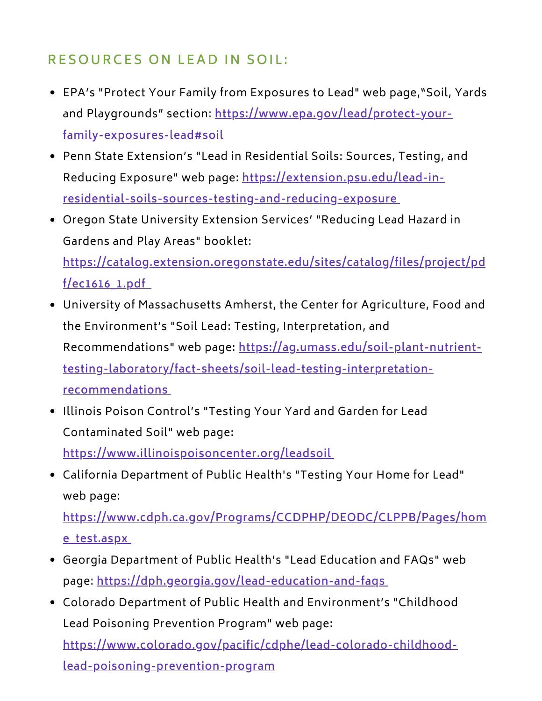## **R ES O U R C ES O N L E A D I N S O I L :**

- EPA's "Protect Your Family from Exposures to Lead" web page,"Soil, Yards and Playgrounds" section: **[https://www.epa.gov/lead/protect-your](https://www.epa.gov/lead/protect-your-family-exposures-lead#soil)family-exposures-lead#soil**
- Penn State Extension's "Lead in Residential Soils: Sources, Testing, and Reducing Exposure" web page: **https://extension.psu.edu/lead-in[residential-soils-sources-testing-and-reducing-exposure](https://extension.psu.edu/lead-in-residential-soils-sources-testing-and-reducing-exposure)**
- Oregon State University Extension Services' "Reducing Lead Hazard in Gardens and Play Areas" booklet: **[https://catalog.extension.oregonstate.edu/sites/catalog/files/project/pd](https://catalog.extension.oregonstate.edu/sites/catalog/files/project/pdf/ec1616_1.pdf)**

**f/ec1616\_1.pdf**

- University of Massachusetts Amherst, the Center for Agriculture, Food and the Environment's "Soil Lead: Testing, Interpretation, and Recommendations" web page: **https://ag.umass.edu/soil-plant-nutrient[testing-laboratory/fact-sheets/soil-lead-testing-interpretation](https://ag.umass.edu/soil-plant-nutrient-testing-laboratory/fact-sheets/soil-lead-testing-interpretation-recommendations)recommendations**
- Illinois Poison Control's "Testing Your Yard and Garden for Lead Contaminated Soil" web page:

**<https://www.illinoispoisoncenter.org/leadsoil>**

California Department of Public Health's "Testing Your Home for Lead" web page:

**[https://www.cdph.ca.gov/Programs/CCDPHP/DEODC/CLPPB/Pages/hom](https://www.cdph.ca.gov/Programs/CCDPHP/DEODC/CLPPB/Pages/home_test.aspx) e\_test.aspx**

- Georgia Department of Public Health's "Lead Education and FAQs" web page: **<https://dph.georgia.gov/lead-education-and-faqs>**
- Colorado Department of Public Health and Environment's "Childhood Lead Poisoning Prevention Program" web page: **[https://www.colorado.gov/pacific/cdphe/lead-colorado-childhood](https://www.colorado.gov/pacific/cdphe/lead-colorado-childhood-lead-poisoning-prevention-program)lead-poisoning-prevention-program**